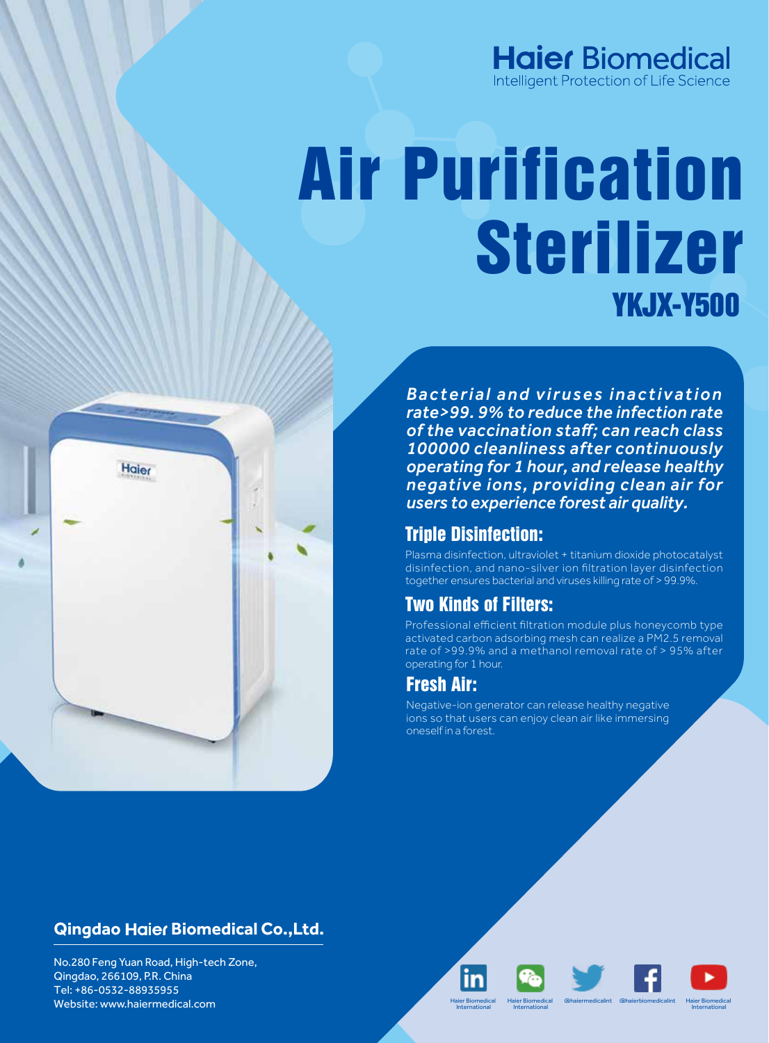## **Haier Biomedical** Intelligent Protection of Life Science

# YKJX-Y500 Air Purification Sterilizer

*Bacterial and viruses inactivation rate>99. 9% to reduce the infection rate of the vaccination staff; can reach class 100000 cleanliness after continuously operating for 1 hour, and release healthy negative ions, providing clean air for users to experience forest air quality.*

### Triple Disinfection:

Plasma disinfection, ultraviolet + titanium dioxide photocatalyst disinfection, and nano-silver ion filtration layer disinfection together ensures bacterial and viruses killing rate of > 99.9%.

# Two Kinds of Filters:

Professional efficient filtration module plus honeycomb type activated carbon adsorbing mesh can realize a PM2.5 removal rate of >99.9% and a methanol removal rate of > 95% after operating for 1 hour.

# Fresh Air:

Negative-ion generator can release healthy negative ions so that users can enjoy clean air like immersing oneself in a forest.



No.280 Feng Yuan Road, High-tech Zone, Qingdao, 266109, P.R. China Tel: +86-0532-88935955 Website: www.haiermedical.com